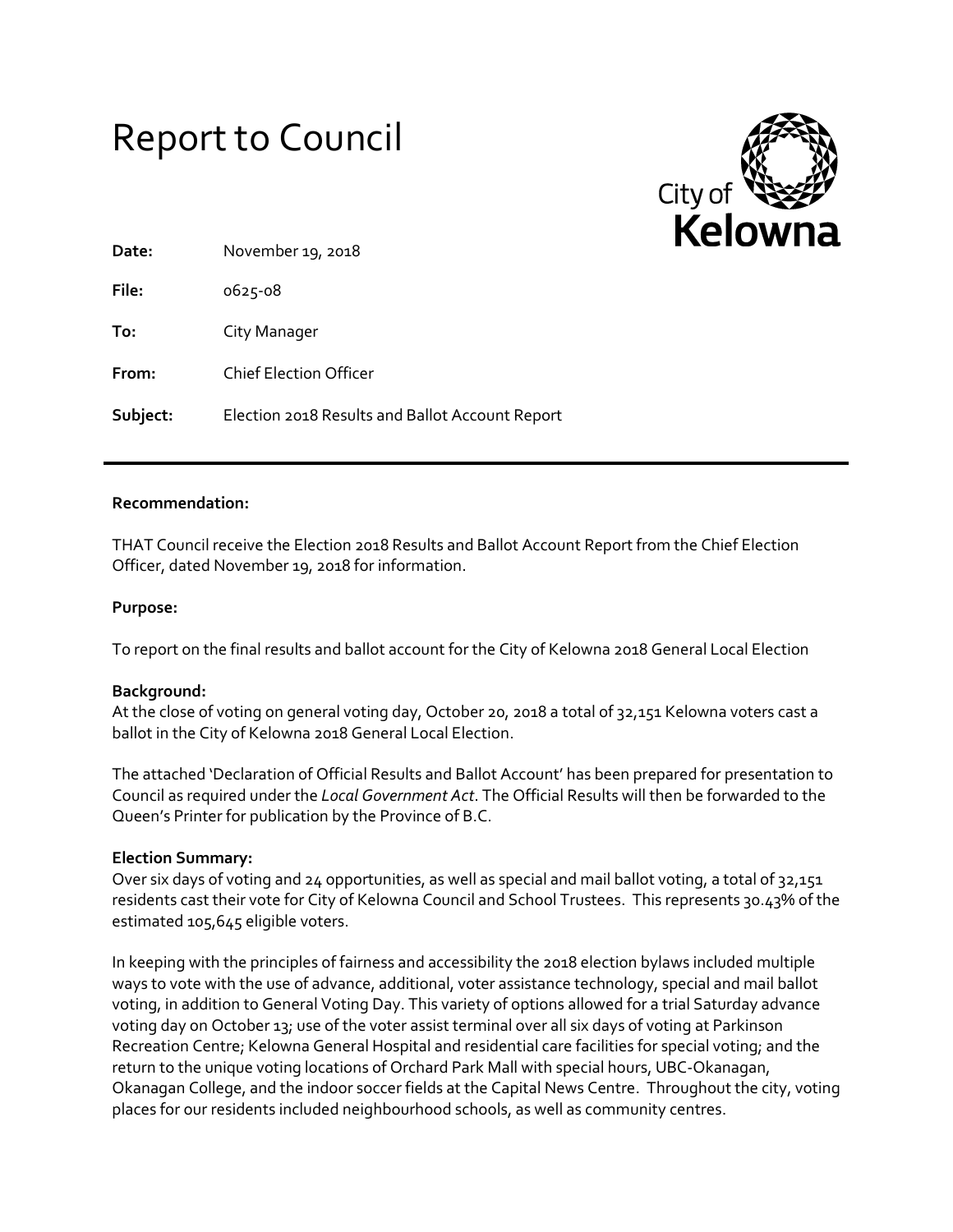# Report to Council



| Date:    | November 19, 2018                               |
|----------|-------------------------------------------------|
| File:    | 0625-08                                         |
| To:      | City Manager                                    |
| From:    | <b>Chief Election Officer</b>                   |
| Subject: | Election 2018 Results and Ballot Account Report |

## **Recommendation:**

THAT Council receive the Election 2018 Results and Ballot Account Report from the Chief Election Officer, dated November 19, 2018 for information.

#### **Purpose:**

To report on the final results and ballot account for the City of Kelowna 2018 General Local Election

## **Background:**

At the close of voting on general voting day, October 20, 2018 a total of 32,151 Kelowna voters cast a ballot in the City of Kelowna 2018 General Local Election.

The attached 'Declaration of Official Results and Ballot Account' has been prepared for presentation to Council as required under the *Local Government Act*. The Official Results will then be forwarded to the Queen's Printer for publication by the Province of B.C.

## **Election Summary:**

Over six days of voting and 24 opportunities, as well as special and mail ballot voting, a total of 32,151 residents cast their vote for City of Kelowna Council and School Trustees. This represents 30.43% of the estimated 105,645 eligible voters.

In keeping with the principles of fairness and accessibility the 2018 election bylaws included multiple ways to vote with the use of advance, additional, voter assistance technology, special and mail ballot voting, in addition to General Voting Day. This variety of options allowed for a trial Saturday advance voting day on October 13; use of the voter assist terminal over all six days of voting at Parkinson Recreation Centre; Kelowna General Hospital and residential care facilities for special voting; and the return to the unique voting locations of Orchard Park Mall with special hours, UBC-Okanagan, Okanagan College, and the indoor soccer fields at the Capital News Centre. Throughout the city, voting places for our residents included neighbourhood schools, as well as community centres.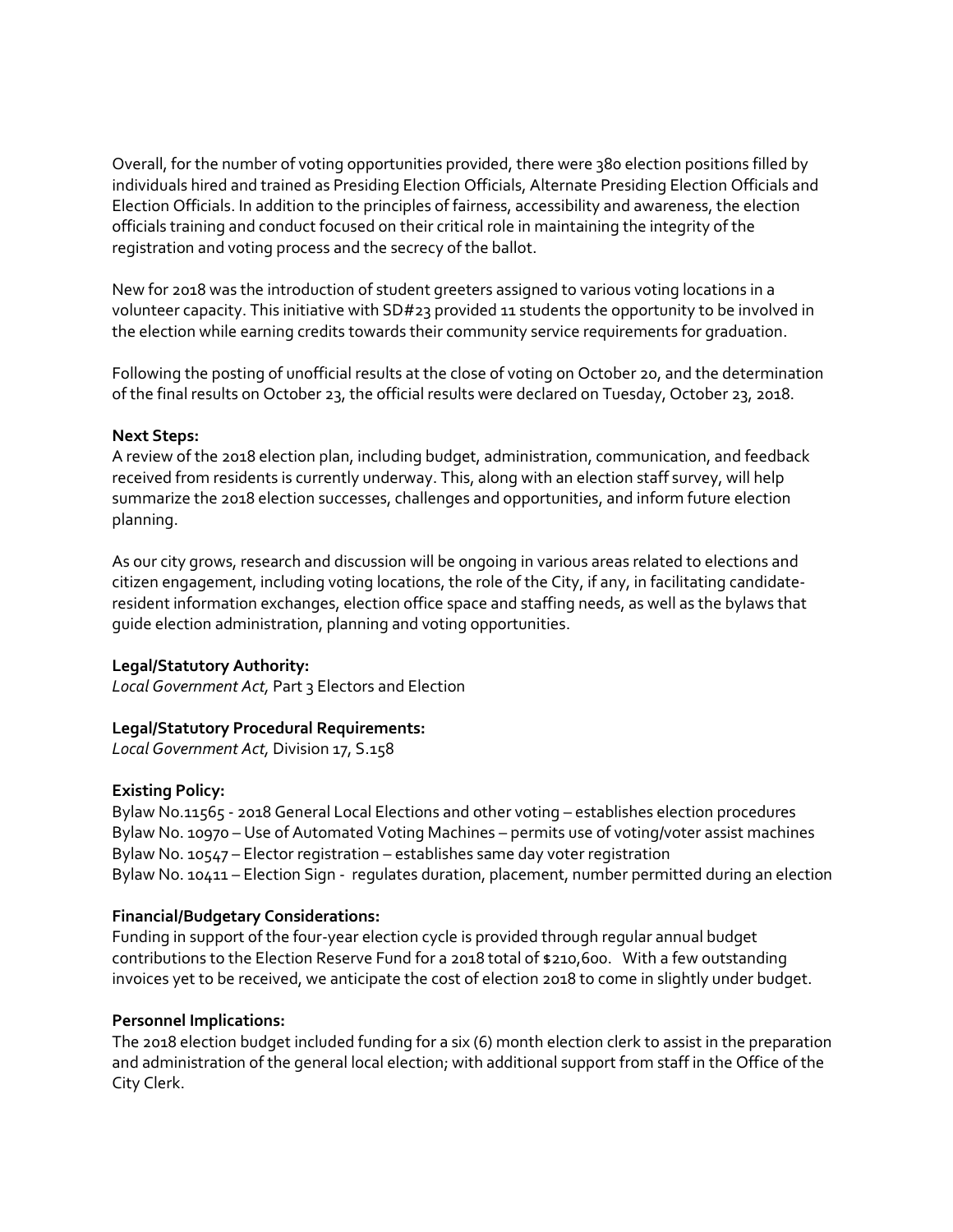Overall, for the number of voting opportunities provided, there were 380 election positions filled by individuals hired and trained as Presiding Election Officials, Alternate Presiding Election Officials and Election Officials. In addition to the principles of fairness, accessibility and awareness, the election officials training and conduct focused on their critical role in maintaining the integrity of the registration and voting process and the secrecy of the ballot.

New for 2018 was the introduction of student greeters assigned to various voting locations in a volunteer capacity. This initiative with SD#23 provided 11 students the opportunity to be involved in the election while earning credits towards their community service requirements for graduation.

Following the posting of unofficial results at the close of voting on October 20, and the determination of the final results on October 23, the official results were declared on Tuesday, October 23, 2018.

## **Next Steps:**

A review of the 2018 election plan, including budget, administration, communication, and feedback received from residents is currently underway. This, along with an election staff survey, will help summarize the 2018 election successes, challenges and opportunities, and inform future election planning.

As our city grows, research and discussion will be ongoing in various areas related to elections and citizen engagement, including voting locations, the role of the City, if any, in facilitating candidateresident information exchanges, election office space and staffing needs, as well as the bylaws that guide election administration, planning and voting opportunities.

# **Legal/Statutory Authority:**

*Local Government Act,* Part 3 Electors and Election

# **Legal/Statutory Procedural Requirements:**

*Local Government Act,* Division 17, S.158

# **Existing Policy:**

Bylaw No.11565 - 2018 General Local Elections and other voting – establishes election procedures Bylaw No. 10970 – Use of Automated Voting Machines – permits use of voting/voter assist machines Bylaw No. 10547 – Elector registration – establishes same day voter registration Bylaw No. 10411 – Election Sign - regulates duration, placement, number permitted during an election

# **Financial/Budgetary Considerations:**

Funding in support of the four-year election cycle is provided through regular annual budget contributions to the Election Reserve Fund for a 2018 total of \$210,600. With a few outstanding invoices yet to be received, we anticipate the cost of election 2018 to come in slightly under budget.

## **Personnel Implications:**

The 2018 election budget included funding for a six (6) month election clerk to assist in the preparation and administration of the general local election; with additional support from staff in the Office of the City Clerk.